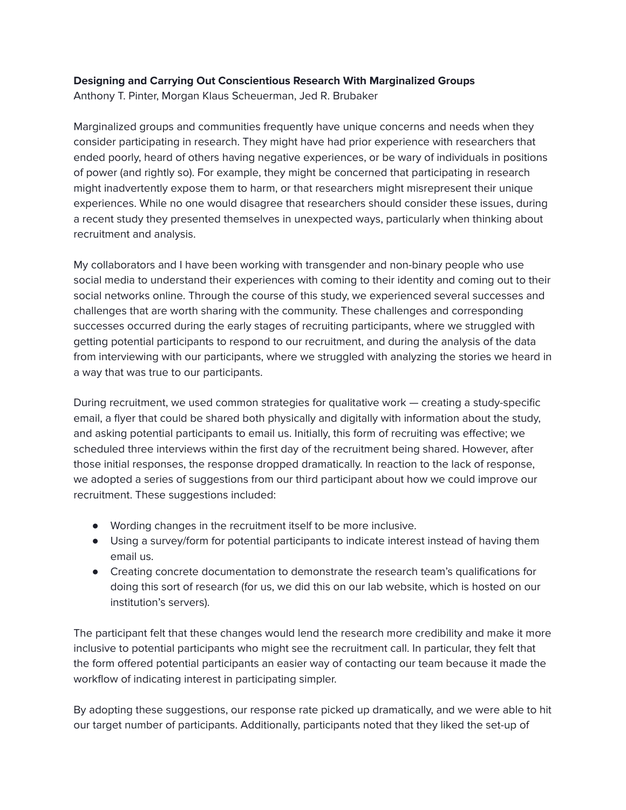## **Designing and Carrying Out Conscientious Research With Marginalized Groups**

Anthony T. Pinter, Morgan Klaus Scheuerman, Jed R. Brubaker

Marginalized groups and communities frequently have unique concerns and needs when they consider participating in research. They might have had prior experience with researchers that ended poorly, heard of others having negative experiences, or be wary of individuals in positions of power (and rightly so). For example, they might be concerned that participating in research might inadvertently expose them to harm, or that researchers might misrepresent their unique experiences. While no one would disagree that researchers should consider these issues, during a recent study they presented themselves in unexpected ways, particularly when thinking about recruitment and analysis.

My collaborators and I have been working with transgender and non-binary people who use social media to understand their experiences with coming to their identity and coming out to their social networks online. Through the course of this study, we experienced several successes and challenges that are worth sharing with the community. These challenges and corresponding successes occurred during the early stages of recruiting participants, where we struggled with getting potential participants to respond to our recruitment, and during the analysis of the data from interviewing with our participants, where we struggled with analyzing the stories we heard in a way that was true to our participants.

During recruitment, we used common strategies for qualitative work — creating a study-specific email, a flyer that could be shared both physically and digitally with information about the study, and asking potential participants to email us. Initially, this form of recruiting was effective; we scheduled three interviews within the first day of the recruitment being shared. However, after those initial responses, the response dropped dramatically. In reaction to the lack of response, we adopted a series of suggestions from our third participant about how we could improve our recruitment. These suggestions included:

- Wording changes in the recruitment itself to be more inclusive.
- Using a survey/form for potential participants to indicate interest instead of having them email us.
- Creating concrete documentation to demonstrate the research team's qualifications for doing this sort of research (for us, we did this on our lab website, which is hosted on our institution's servers).

The participant felt that these changes would lend the research more credibility and make it more inclusive to potential participants who might see the recruitment call. In particular, they felt that the form offered potential participants an easier way of contacting our team because it made the workflow of indicating interest in participating simpler.

By adopting these suggestions, our response rate picked up dramatically, and we were able to hit our target number of participants. Additionally, participants noted that they liked the set-up of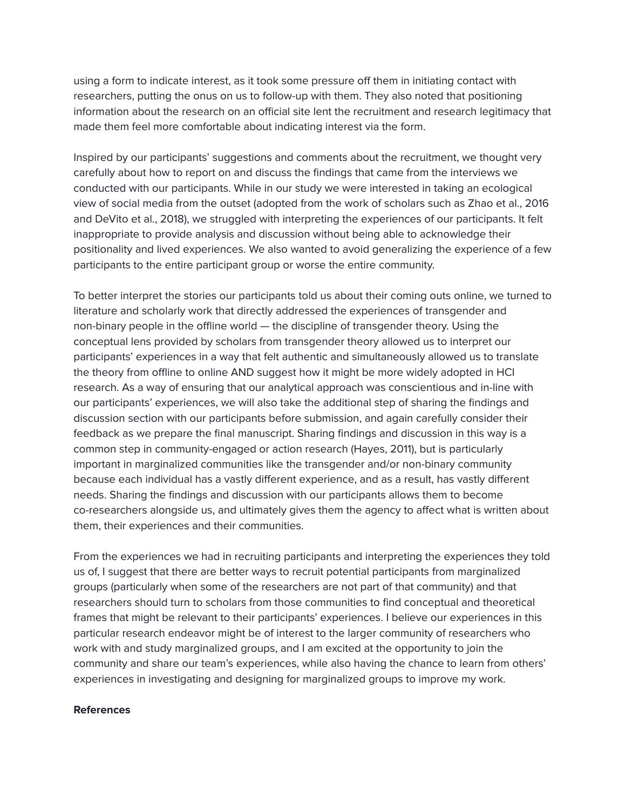using a form to indicate interest, as it took some pressure off them in initiating contact with researchers, putting the onus on us to follow-up with them. They also noted that positioning information about the research on an official site lent the recruitment and research legitimacy that made them feel more comfortable about indicating interest via the form.

Inspired by our participants' suggestions and comments about the recruitment, we thought very carefully about how to report on and discuss the findings that came from the interviews we conducted with our participants. While in our study we were interested in taking an ecological view of social media from the outset (adopted from the work of scholars such as Zhao et al., 2016 and DeVito et al., 2018), we struggled with interpreting the experiences of our participants. It felt inappropriate to provide analysis and discussion without being able to acknowledge their positionality and lived experiences. We also wanted to avoid generalizing the experience of a few participants to the entire participant group or worse the entire community.

To better interpret the stories our participants told us about their coming outs online, we turned to literature and scholarly work that directly addressed the experiences of transgender and non-binary people in the offline world — the discipline of transgender theory. Using the conceptual lens provided by scholars from transgender theory allowed us to interpret our participants' experiences in a way that felt authentic and simultaneously allowed us to translate the theory from offline to online AND suggest how it might be more widely adopted in HCI research. As a way of ensuring that our analytical approach was conscientious and in-line with our participants' experiences, we will also take the additional step of sharing the findings and discussion section with our participants before submission, and again carefully consider their feedback as we prepare the final manuscript. Sharing findings and discussion in this way is a common step in community-engaged or action research (Hayes, 2011), but is particularly important in marginalized communities like the transgender and/or non-binary community because each individual has a vastly different experience, and as a result, has vastly different needs. Sharing the findings and discussion with our participants allows them to become co-researchers alongside us, and ultimately gives them the agency to affect what is written about them, their experiences and their communities.

From the experiences we had in recruiting participants and interpreting the experiences they told us of, I suggest that there are better ways to recruit potential participants from marginalized groups (particularly when some of the researchers are not part of that community) and that researchers should turn to scholars from those communities to find conceptual and theoretical frames that might be relevant to their participants' experiences. I believe our experiences in this particular research endeavor might be of interest to the larger community of researchers who work with and study marginalized groups, and I am excited at the opportunity to join the community and share our team's experiences, while also having the chance to learn from others' experiences in investigating and designing for marginalized groups to improve my work.

## **References**